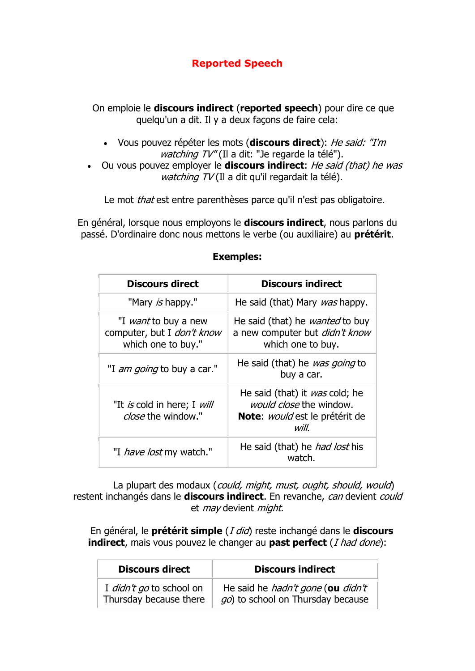## **Reported Speech**

On emploie le **discours indirect** (**reported speech**) pour dire ce que quelqu'un a dit. Il y a deux facons de faire cela:

- Vous pouvez répéter les mots (**discours direct**): *He said: "I'm watching TV"* (Il a dit: "Je regarde la télé").
- Ou vous pouvez employer le **discours indirect**: *He said (that) he was watching TV* (Il a dit qu'il regardait la télé).

Le mot *that* est entre parenthèses parce qu'il n'est pas obligatoire.

En général, lorsque nous employons le **discours indirect**, nous parlons du passé. D'ordinaire donc nous mettons le verbe (ou auxiliaire) au **prétérit**.

| <b>Discours direct</b>                                                          | <b>Discours indirect</b>                                                                                                   |
|---------------------------------------------------------------------------------|----------------------------------------------------------------------------------------------------------------------------|
| "Mary is happy."                                                                | He said (that) Mary was happy.                                                                                             |
| "I <i>want</i> to buy a new<br>computer, but I don't know<br>which one to buy." | He said (that) he <i>wanted</i> to buy<br>a new computer but didn't know<br>which one to buy.                              |
| "I <i>am going</i> to buy a car."                                               | He said (that) he was going to<br>buy a car.                                                                               |
| "It is cold in here; I will<br>close the window."                               | He said (that) it was cold; he<br><i>would close</i> the window.<br><b>Note</b> : <i>would</i> est le prétérit de<br>will. |
| "I <i>have lost</i> my watch."                                                  | He said (that) he <i>had lost</i> his<br>watch.                                                                            |

## **Exemples:**

La plupart des modaux (*could, might, must, ought, should, would*) restent inchangés dans le **discours indirect**. En revanche, *can* devient *could* et *may* devient *might*.

En général, le **prétérit simple** (*I did*) reste inchangé dans le **discours indirect**, mais vous pouvez le changer au **past perfect** (*I had done*):

| <b>Discours direct</b>   | <b>Discours indirect</b>          |
|--------------------------|-----------------------------------|
| I didn't go to school on | He said he hadn't gone (ou didn't |
| Thursday because there   | go) to school on Thursday because |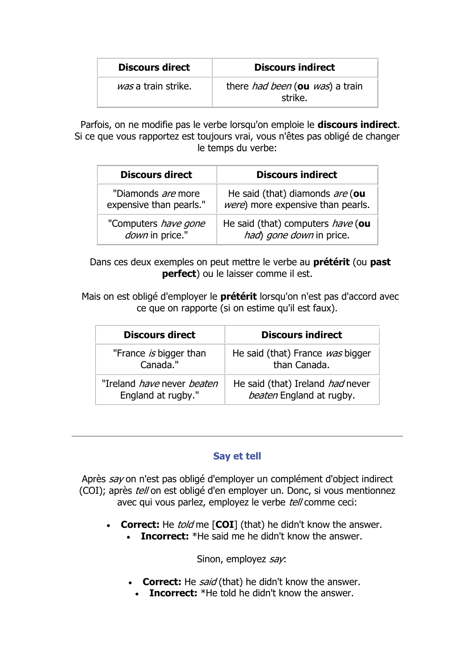| <b>Discours direct</b> | <b>Discours indirect</b>                                  |
|------------------------|-----------------------------------------------------------|
| was a train strike.    | there <i>had been</i> (ou <i>was</i> ) a train<br>strike. |

Parfois, on ne modifie pas le verbe lorsqu'on emploie le **discours indirect**. Si ce que vous rapportez est toujours vrai, vous n'êtes pas obligé de changer le temps du verbe:

| <b>Discours direct</b>      | <b>Discours indirect</b>                  |
|-----------------------------|-------------------------------------------|
| "Diamonds are more          | He said (that) diamonds are (ou           |
| expensive than pearls."     | <i>were</i> ) more expensive than pearls. |
| "Computers <i>have gone</i> | He said (that) computers have (ou         |
| down in price."             | had) gone down in price.                  |

Dans ces deux exemples on peut mettre le verbe au **prétérit** (ou **past perfect**) ou le laisser comme il est.

Mais on est obligé d'employer le **prétérit** lorsqu'on n'est pas d'accord avec ce que on rapporte (si on estime qu'il est faux).

| <b>Discours direct</b>                   | <b>Discours indirect</b>         |
|------------------------------------------|----------------------------------|
| "France is bigger than                   | He said (that) France was bigger |
| Canada."                                 | than Canada.                     |
| "Ireland <i>have</i> never <i>beaten</i> | He said (that) Ireland had never |
| England at rugby."                       | beaten England at rugby.         |

## **Say et tell**

Après *say* on n'est pas obligé d'employer un complément d'object indirect (COI); après *tell* on est obligé d'en employer un. Donc, si vous mentionnez avec qui vous parlez, employez le verbe *tell* comme ceci:

- **Correct:** He *told* me [**COI**] (that) he didn't know the answer.
	- **Incorrect:** \*He said me he didn't know the answer.

Sinon, employez *say*:

- **Correct:** He *said* (that) he didn't know the answer.
- **Incorrect:** \*He told he didn't know the answer.